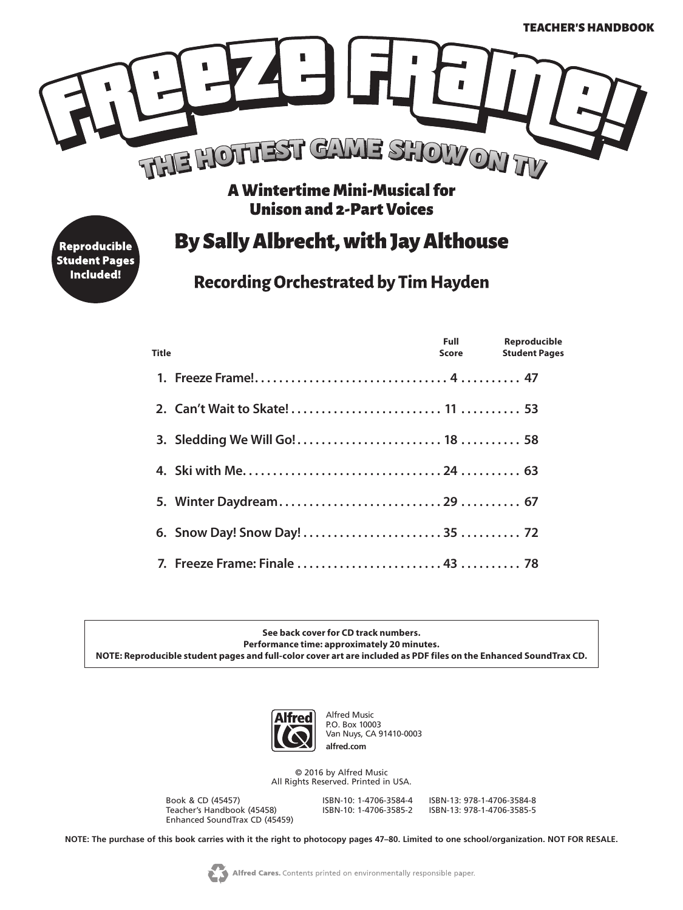

**Unison and 2-Part Voices** 

## **By Sally Albrecht, with Jay Althouse**

**Recording Orchestrated by Tim Hayden** 

| <b>Title</b> | <b>Full</b> Parties<br><b>Score Score</b> | Reproducible<br><b>Student Pages</b> |
|--------------|-------------------------------------------|--------------------------------------|
|              |                                           |                                      |
|              |                                           |                                      |
|              |                                           |                                      |
|              |                                           |                                      |
|              |                                           |                                      |
|              |                                           |                                      |
|              |                                           |                                      |

**See back cover for CD track numbers. Performance time: approximately 20 minutes. NOTE: Reproducible student pages and full-color cover art are included as PDF files on the Enhanced SoundTrax CD.** 



Alfred Music P.O. Box 10003 Van Nuys, CA 91410-0003 **alfred.com**

© 2016 by Alfred Music All Rights Reserved. Printed in USA.

Book & CD (45457) ISBN-10: 1-4706-3584-4 ISBN-13: 978-1-4706-3584-8 Teacher's Handbook (45458) Enhanced SoundTrax CD (45459)

Reproducible **Student Pages Included!** 

**NOTE: The purchase of this book carries with it the right to photocopy pages 47–80. Limited to one school/organization. NOT FOR RESALE.**

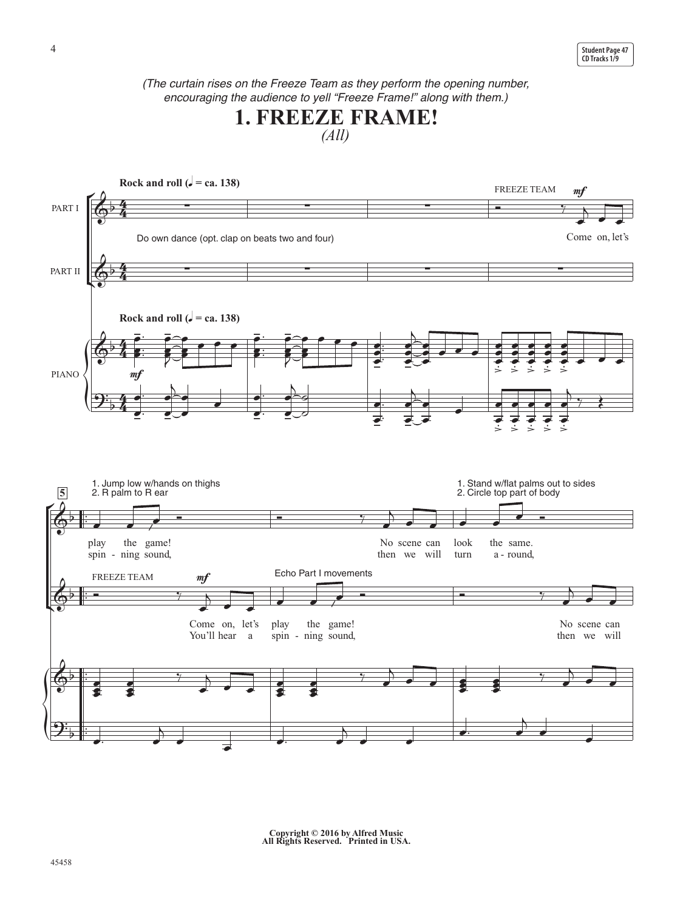*(The curtain rises on the Freeze Team as they perform the opening number, encouraging the audience to yell "Freeze Frame!" along with them.)*





**Copyright © 2016 by Alfred Music All Rights Reserved. Printed in USA.**